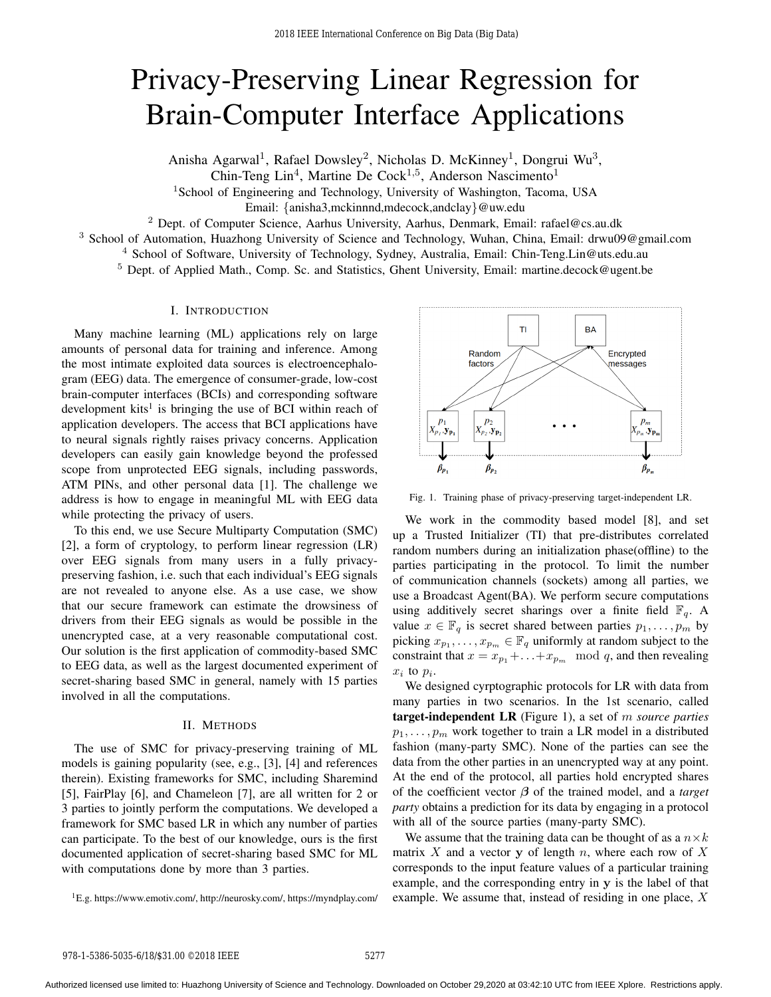# Privacy-Preserving Linear Regression for Brain-Computer Interface Applications

Anisha Agarwal<sup>1</sup>, Rafael Dowsley<sup>2</sup>, Nicholas D. McKinney<sup>1</sup>, Dongrui Wu<sup>3</sup>,

Chin-Teng Lin<sup>4</sup>, Martine De Cock<sup>1,5</sup>, Anderson Nascimento<sup>1</sup>

<sup>1</sup>School of Engineering and Technology, University of Washington, Tacoma, USA

Email: {anisha3,mckinnnd,mdecock,andclay}@uw.edu

<sup>2</sup> Dept. of Computer Science, Aarhus University, Aarhus, Denmark, Email: rafael@cs.au.dk

<sup>3</sup> School of Automation, Huazhong University of Science and Technology, Wuhan, China, Email: drwu09@gmail.com

<sup>4</sup> School of Software, University of Technology, Sydney, Australia, Email: Chin-Teng.Lin@uts.edu.au

<sup>5</sup> Dept. of Applied Math., Comp. Sc. and Statistics, Ghent University, Email: martine.decock@ugent.be

## I. INTRODUCTION

Many machine learning (ML) applications rely on large amounts of personal data for training and inference. Among the most intimate exploited data sources is electroencephalogram (EEG) data. The emergence of consumer-grade, low-cost brain-computer interfaces (BCIs) and corresponding software development kits<sup>1</sup> is bringing the use of BCI within reach of application developers. The access that BCI applications have to neural signals rightly raises privacy concerns. Application developers can easily gain knowledge beyond the professed scope from unprotected EEG signals, including passwords, ATM PINs, and other personal data [1]. The challenge we address is how to engage in meaningful ML with EEG data while protecting the privacy of users.

To this end, we use Secure Multiparty Computation (SMC) [2], a form of cryptology, to perform linear regression (LR) over EEG signals from many users in a fully privacypreserving fashion, i.e. such that each individual's EEG signals are not revealed to anyone else. As a use case, we show that our secure framework can estimate the drowsiness of drivers from their EEG signals as would be possible in the unencrypted case, at a very reasonable computational cost. Our solution is the first application of commodity-based SMC to EEG data, as well as the largest documented experiment of secret-sharing based SMC in general, namely with 15 parties involved in all the computations.

### II. METHODS

The use of SMC for privacy-preserving training of ML models is gaining popularity (see, e.g., [3], [4] and references therein). Existing frameworks for SMC, including Sharemind [5], FairPlay [6], and Chameleon [7], are all written for 2 or 3 parties to jointly perform the computations. We developed a framework for SMC based LR in which any number of parties can participate. To the best of our knowledge, ours is the first documented application of secret-sharing based SMC for ML with computations done by more than 3 parties.

<sup>1</sup>E.g. https://www.emotiv.com/, http://neurosky.com/, https://myndplay.com/



Fig. 1. Training phase of privacy-preserving target-independent LR.

We work in the commodity based model [8], and set up a Trusted Initializer (TI) that pre-distributes correlated random numbers during an initialization phase(offline) to the parties participating in the protocol. To limit the number of communication channels (sockets) among all parties, we use a Broadcast Agent(BA). We perform secure computations using additively secret sharings over a finite field  $\mathbb{F}_q$ . A value  $x \in \mathbb{F}_q$  is secret shared between parties  $p_1, \ldots, p_m$  by picking  $x_{p_1}, \ldots, x_{p_m} \in \mathbb{F}_q$  uniformly at random subject to the constraint that  $x = x_{p_1} + \ldots + x_{p_m} \mod q$ , and then revealing  $x_i$  to  $p_i$ .

We designed cyrptographic protocols for LR with data from many parties in two scenarios. In the 1st scenario, called target-independent LR (Figure 1), a set of m *source parties*  $p_1, \ldots, p_m$  work together to train a LR model in a distributed fashion (many-party SMC). None of the parties can see the data from the other parties in an unencrypted way at any point. At the end of the protocol, all parties hold encrypted shares of the coefficient vector β of the trained model, and a *target party* obtains a prediction for its data by engaging in a protocol with all of the source parties (many-party SMC).

We assume that the training data can be thought of as a  $n \times k$ matrix  $X$  and a vector  $y$  of length  $n$ , where each row of  $X$ corresponds to the input feature values of a particular training example, and the corresponding entry in  $v$  is the label of that example. We assume that, instead of residing in one place, X

Authorized licensed use limited to: Huazhong University of Science and Technology. Downloaded on October 29,2020 at 03:42:10 UTC from IEEE Xplore. Restrictions apply.